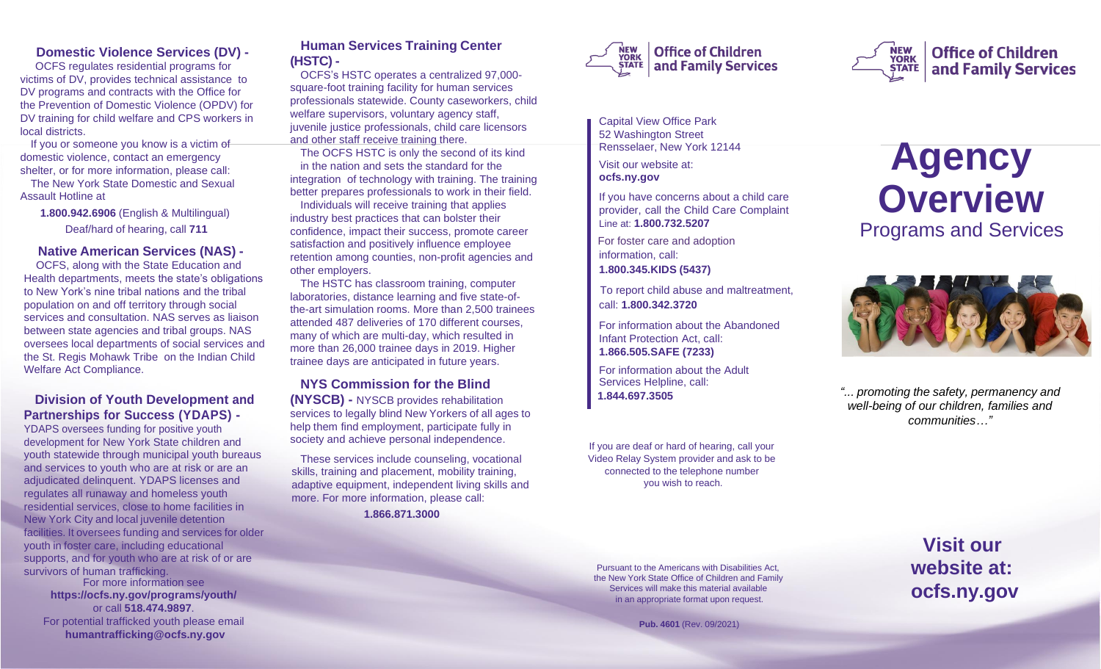## **Domestic Violence Services (DV) -**

 OCFS regulates residential programs for victims of DV, provides technical assistance to DV programs and contracts with the Office for the Prevention of Domestic Violence (OPDV) for DV training for child welfare and CPS workers in local districts.

If you or someone you know is a victim of domestic violence, contact an emergency shelter, or for more information, please call:

The New York State Domestic and Sexual Assault Hotline at

**1.800.942.6906** (English & Multilingual) Deaf/hard of hearing, call **711**

#### **Native American Services (NAS) -**

 OCFS, along with the State Education and Health departments, meets the state's obligations to New York's nine tribal nations and the tribal population on and off territory through social services and consultation. NAS serves as liaison between state agencies and tribal groups. NAS oversees local departments of social services and the St. Regis Mohawk Tribe on the Indian Child Welfare Act Compliance.

## **Division of Youth Development and Partnerships for Success (YDAPS) -**

YDAPS oversees funding for positive youth development for New York State children and youth statewide through municipal youth bureaus and services to youth who are at risk or are an adjudicated delinquent. YDAPS licenses and regulates all runaway and homeless youth residential services, close to home facilities in New York City and local juvenile detention facilities. It oversees funding and services for older youth in foster care, including educational supports, and for youth who are at risk of or are survivors of human trafficking.

For more information see **https://ocfs.ny.gov/programs/youth/** or call **518.474.9897**. For potential trafficked youth please email **[humantrafficking@ocfs.ny.gov](mailto:humantrafficking@ocfs.ny.gov)**

#### **Human Services Training Center (HSTC) -**

OCFS's HSTC operates a centralized 97,000 square-foot training facility for human services professionals statewide. County caseworkers, child welfare supervisors, voluntary agency staff, juvenile justice professionals, child care licensors and other staff receive training there.

The OCFS HSTC is only the second of its kind in the nation and sets the standard for the integration of technology with training. The training better prepares professionals to work in their field.

Individuals will receive training that applies industry best practices that can bolster their confidence, impact their success, promote career satisfaction and positively influence employee retention among counties, non-profit agencies and other employers.

The HSTC has classroom training, computer laboratories, distance learning and five state-ofthe-art simulation rooms. More than 2,500 trainees attended 487 deliveries of 170 different courses, many of which are multi-day, which resulted in more than 26,000 trainee days in 2019. Higher trainee days are anticipated in future years.

#### **NYS Commission for the Blind**

**(NYSCB) -** NYSCB provides rehabilitation services to legally blind New Yorkers of all ages to help them find employment, participate fully in society and achieve personal independence.

These services include counseling, vocational skills, training and placement, mobility training, adaptive equipment, independent living skills and more. For more information, please call:

**1.866.871.3000**





Rensselaer, New York 12144

Visit our website at: **ocfs.ny.gov**

If you have concerns about a child care provider, call the Child Care Complaint Line at: **1.800.732.5207**

For foster care and adoption information, call: **1.800.345.KIDS (5437)**

To report child abuse and maltreatment, call: **1.800.342.3720**

For information about the Abandoned Infant Protection Act, call: **1.866.505.SAFE (7233)**

For information about the Adult Services Helpline, call: **1.844.697.3505**

If you are deaf or hard of hearing, call your Video Relay System provider and ask to be connected to the telephone number you wish to reach.

# **Agency Overview** Programs and Services

NEW<br>YORK

**STATE** 

**Office of Children** 

and Family Services



*"... promoting the safety, permanency and well-being of our children, families and communities…"*

Pursuant to the Americans with Disabilities Act, the New York State Office of Children and Family Services will make this material available in an appropriate format upon request.

 **Pub. 4601** (Rev. 09/2021)

**Visit our website at: ocfs.ny.gov**